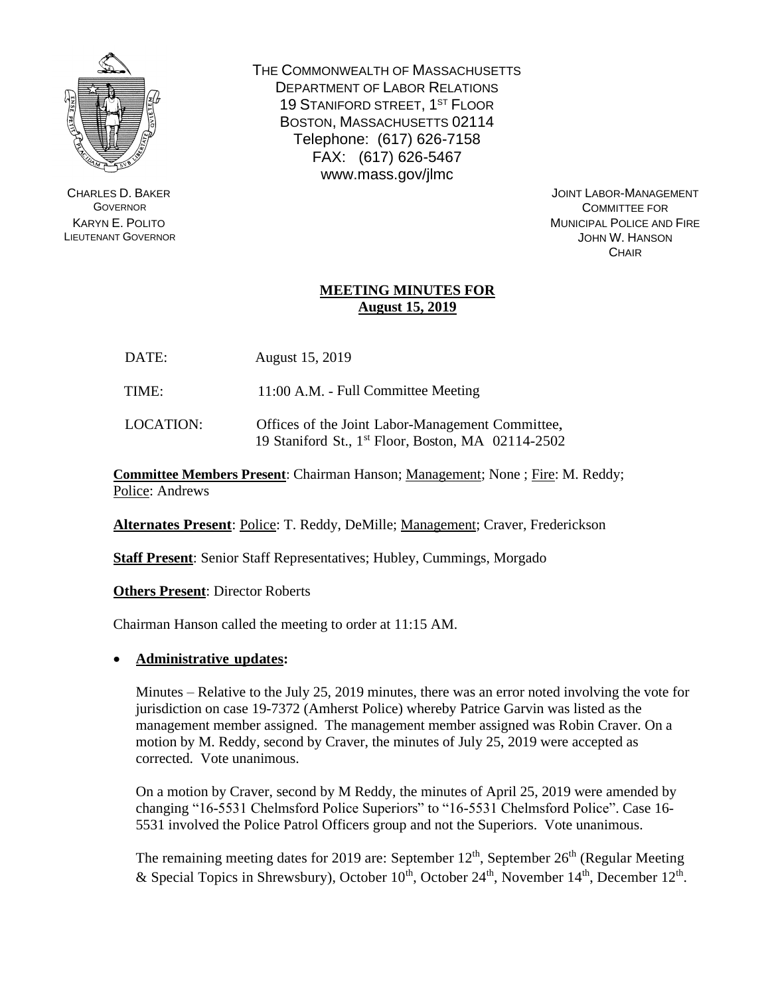

CHARLES D. BAKER **GOVERNOR** KARYN E. POLITO LIEUTENANT GOVERNOR THE COMMONWEALTH OF MASSACHUSETTS DEPARTMENT OF LABOR RELATIONS 19 STANIFORD STREET, 1<sup>ST</sup> FLOOR BOSTON, MASSACHUSETTS 02114 Telephone: (617) 626-7158 FAX: (617) 626-5467 www.mass.gov/jlmc

> JOINT LABOR-MANAGEMENT COMMITTEE FOR MUNICIPAL POLICE AND FIRE JOHN W. HANSON **CHAIR**

# **MEETING MINUTES FOR August 15, 2019**

| DATE: | August 15, 2019 |  |
|-------|-----------------|--|
|       |                 |  |

TIME: 11:00 A.M. - Full Committee Meeting

LOCATION: Offices of the Joint Labor-Management Committee, 19 Staniford St., 1 st Floor, Boston, MA 02114-2502

**Committee Members Present**: Chairman Hanson; Management; None ; Fire: M. Reddy; Police: Andrews

**Alternates Present**: Police: T. Reddy, DeMille; Management; Craver, Frederickson

**Staff Present**: Senior Staff Representatives; Hubley, Cummings, Morgado

**Others Present**: Director Roberts

Chairman Hanson called the meeting to order at 11:15 AM.

## • **Administrative updates:**

Minutes – Relative to the July 25, 2019 minutes, there was an error noted involving the vote for jurisdiction on case 19-7372 (Amherst Police) whereby Patrice Garvin was listed as the management member assigned. The management member assigned was Robin Craver. On a motion by M. Reddy, second by Craver, the minutes of July 25, 2019 were accepted as corrected. Vote unanimous.

On a motion by Craver, second by M Reddy, the minutes of April 25, 2019 were amended by changing "16-5531 Chelmsford Police Superiors" to "16-5531 Chelmsford Police". Case 16- 5531 involved the Police Patrol Officers group and not the Superiors. Vote unanimous.

The remaining meeting dates for 2019 are: September  $12<sup>th</sup>$ , September  $26<sup>th</sup>$  (Regular Meeting & Special Topics in Shrewsbury), October  $10^{th}$ , October  $24^{th}$ , November  $14^{th}$ , December  $12^{th}$ .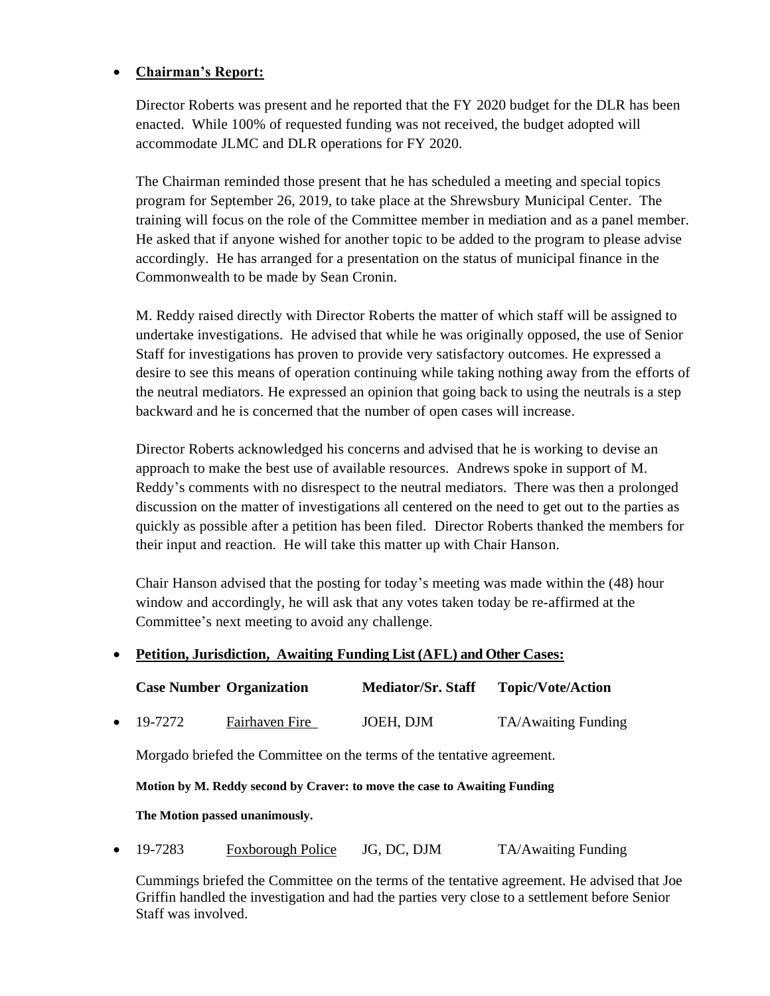# • **Chairman's Report:**

Director Roberts was present and he reported that the FY 2020 budget for the DLR has been enacted. While 100% of requested funding was not received, the budget adopted will accommodate JLMC and DLR operations for FY 2020.

The Chairman reminded those present that he has scheduled a meeting and special topics program for September 26, 2019, to take place at the Shrewsbury Municipal Center. The training will focus on the role of the Committee member in mediation and as a panel member. He asked that if anyone wished for another topic to be added to the program to please advise accordingly. He has arranged for a presentation on the status of municipal finance in the Commonwealth to be made by Sean Cronin.

M. Reddy raised directly with Director Roberts the matter of which staff will be assigned to undertake investigations. He advised that while he was originally opposed, the use of Senior Staff for investigations has proven to provide very satisfactory outcomes. He expressed a desire to see this means of operation continuing while taking nothing away from the efforts of the neutral mediators. He expressed an opinion that going back to using the neutrals is a step backward and he is concerned that the number of open cases will increase.

Director Roberts acknowledged his concerns and advised that he is working to devise an approach to make the best use of available resources. Andrews spoke in support of M. Reddy's comments with no disrespect to the neutral mediators. There was then a prolonged discussion on the matter of investigations all centered on the need to get out to the parties as quickly as possible after a petition has been filed. Director Roberts thanked the members for their input and reaction. He will take this matter up with Chair Hanson.

Chair Hanson advised that the posting for today's meeting was made within the (48) hour window and accordingly, he will ask that any votes taken today be re-affirmed at the Committee's next meeting to avoid any challenge.

## • **Petition, Jurisdiction, Awaiting Funding List (AFL) and Other Cases:**

|         | <b>Case Number Organization</b> | <b>Mediator/Sr. Staff</b> | <b>Topic/Vote/Action</b> |
|---------|---------------------------------|---------------------------|--------------------------|
| 19-7272 | Fairhaven Fire                  | JOEH, DJM                 | TA/Awaiting Funding      |

Morgado briefed the Committee on the terms of the tentative agreement.

**Motion by M. Reddy second by Craver: to move the case to Awaiting Funding**

**The Motion passed unanimously.**

19-7283 Foxborough Police JG, DC, DJM TA/Awaiting Funding

Cummings briefed the Committee on the terms of the tentative agreement. He advised that Joe Griffin handled the investigation and had the parties very close to a settlement before Senior Staff was involved.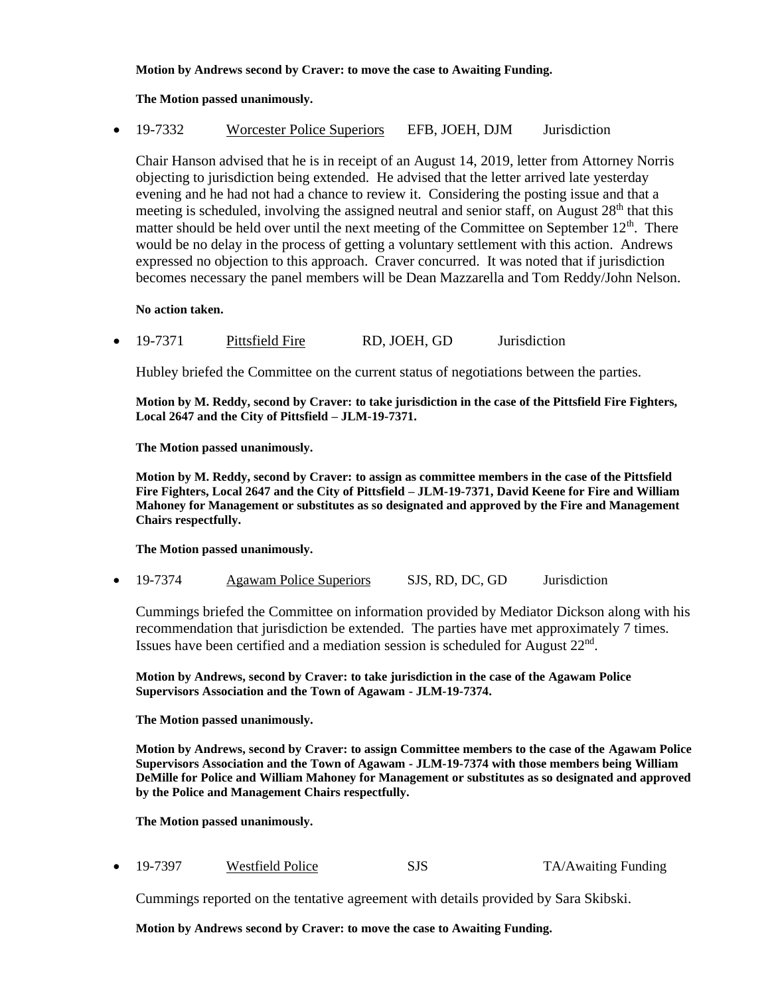### **Motion by Andrews second by Craver: to move the case to Awaiting Funding.**

### **The Motion passed unanimously.**

• 19-7332 Worcester Police Superiors EFB, JOEH, DJM Jurisdiction

Chair Hanson advised that he is in receipt of an August 14, 2019, letter from Attorney Norris objecting to jurisdiction being extended. He advised that the letter arrived late yesterday evening and he had not had a chance to review it. Considering the posting issue and that a meeting is scheduled, involving the assigned neutral and senior staff, on August  $28<sup>th</sup>$  that this matter should be held over until the next meeting of the Committee on September  $12<sup>th</sup>$ . There would be no delay in the process of getting a voluntary settlement with this action. Andrews expressed no objection to this approach. Craver concurred. It was noted that if jurisdiction becomes necessary the panel members will be Dean Mazzarella and Tom Reddy/John Nelson.

**No action taken.** 

• 19-7371 Pittsfield Fire RD, JOEH, GD Jurisdiction

Hubley briefed the Committee on the current status of negotiations between the parties.

**Motion by M. Reddy, second by Craver: to take jurisdiction in the case of the Pittsfield Fire Fighters, Local 2647 and the City of Pittsfield – JLM-19-7371.**

**The Motion passed unanimously.**

**Motion by M. Reddy, second by Craver: to assign as committee members in the case of the Pittsfield Fire Fighters, Local 2647 and the City of Pittsfield – JLM-19-7371, David Keene for Fire and William Mahoney for Management or substitutes as so designated and approved by the Fire and Management Chairs respectfully.** 

**The Motion passed unanimously.**

• 19-7374 Agawam Police Superiors SJS, RD, DC, GD Jurisdiction

Cummings briefed the Committee on information provided by Mediator Dickson along with his recommendation that jurisdiction be extended. The parties have met approximately 7 times. Issues have been certified and a mediation session is scheduled for August  $22<sup>nd</sup>$ .

**Motion by Andrews, second by Craver: to take jurisdiction in the case of the Agawam Police Supervisors Association and the Town of Agawam - JLM-19-7374.**

**The Motion passed unanimously.**

**Motion by Andrews, second by Craver: to assign Committee members to the case of the Agawam Police Supervisors Association and the Town of Agawam - JLM-19-7374 with those members being William DeMille for Police and William Mahoney for Management or substitutes as so designated and approved by the Police and Management Chairs respectfully.**

**The Motion passed unanimously.**

• 19-7397 Westfield Police SJS TA/Awaiting Funding

Cummings reported on the tentative agreement with details provided by Sara Skibski.

**Motion by Andrews second by Craver: to move the case to Awaiting Funding.**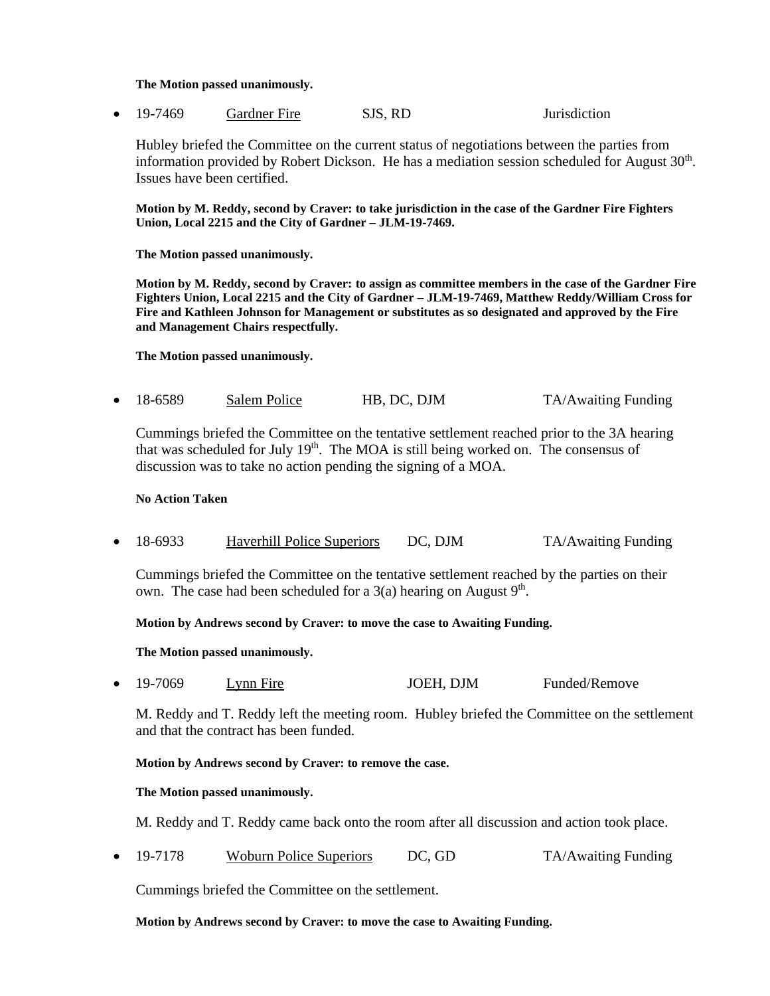### **The Motion passed unanimously.**

• 19-7469 Gardner Fire SJS, RD Jurisdiction

Hubley briefed the Committee on the current status of negotiations between the parties from information provided by Robert Dickson. He has a mediation session scheduled for August  $30<sup>th</sup>$ . Issues have been certified.

**Motion by M. Reddy, second by Craver: to take jurisdiction in the case of the Gardner Fire Fighters Union, Local 2215 and the City of Gardner – JLM-19-7469.**

**The Motion passed unanimously.**

**Motion by M. Reddy, second by Craver: to assign as committee members in the case of the Gardner Fire Fighters Union, Local 2215 and the City of Gardner – JLM-19-7469, Matthew Reddy/William Cross for Fire and Kathleen Johnson for Management or substitutes as so designated and approved by the Fire and Management Chairs respectfully.** 

**The Motion passed unanimously.**

• 18-6589 Salem Police HB, DC, DJM TA/Awaiting Funding

Cummings briefed the Committee on the tentative settlement reached prior to the 3A hearing that was scheduled for July  $19<sup>th</sup>$ . The MOA is still being worked on. The consensus of discussion was to take no action pending the signing of a MOA.

### **No Action Taken**

• 18-6933 Haverhill Police Superiors DC, DJM TA/Awaiting Funding

Cummings briefed the Committee on the tentative settlement reached by the parties on their own. The case had been scheduled for a  $3(a)$  hearing on August  $9<sup>th</sup>$ .

### **Motion by Andrews second by Craver: to move the case to Awaiting Funding.**

**The Motion passed unanimously.**

• 19-7069 Lynn Fire JOEH, DJM Funded/Remove

M. Reddy and T. Reddy left the meeting room. Hubley briefed the Committee on the settlement and that the contract has been funded.

**Motion by Andrews second by Craver: to remove the case.**

#### **The Motion passed unanimously.**

M. Reddy and T. Reddy came back onto the room after all discussion and action took place.

• 19-7178 Woburn Police Superiors DC, GD TA/Awaiting Funding

Cummings briefed the Committee on the settlement.

#### **Motion by Andrews second by Craver: to move the case to Awaiting Funding.**